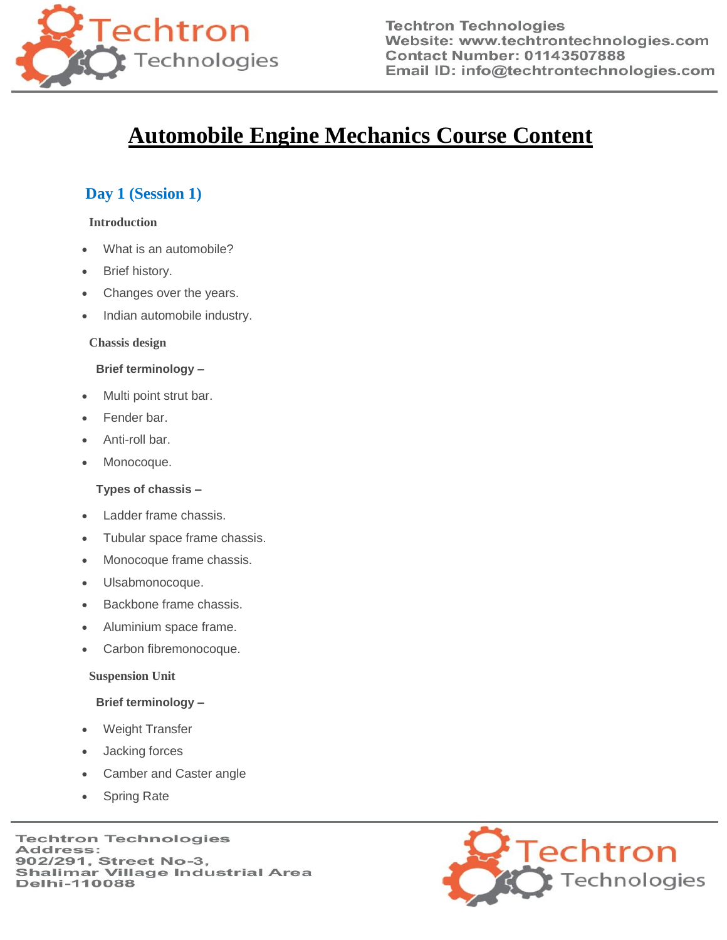

**Techtron Technologies** Website: www.techtrontechnologies.com **Contact Number: 01143507888** Email ID: info@techtrontechnologies.com

# **Automobile Engine Mechanics Course Content**

### **Day 1 (Session 1)**

#### **Introduction**

- What is an automobile?
- Brief history.
- Changes over the years.
- Indian automobile industry.

#### **Chassis design**

#### **Brief terminology –**

- Multi point strut bar.
- Fender bar.
- Anti-roll bar.
- Monocoque.

#### **Types of chassis –**

- Ladder frame chassis.
- Tubular space frame chassis.
- Monocoque frame chassis.
- Ulsabmonocoque.
- Backbone frame chassis.
- Aluminium space frame.
- Carbon fibremonocoque.

#### **Suspension Unit**

#### **Brief terminology –**

- Weight Transfer
- Jacking forces
- Camber and Caster angle
- Spring Rate

**Techtron Technologies** Address: 902/291, Street No-3, **Shalimar Village Industrial Area Delhi-110088** 

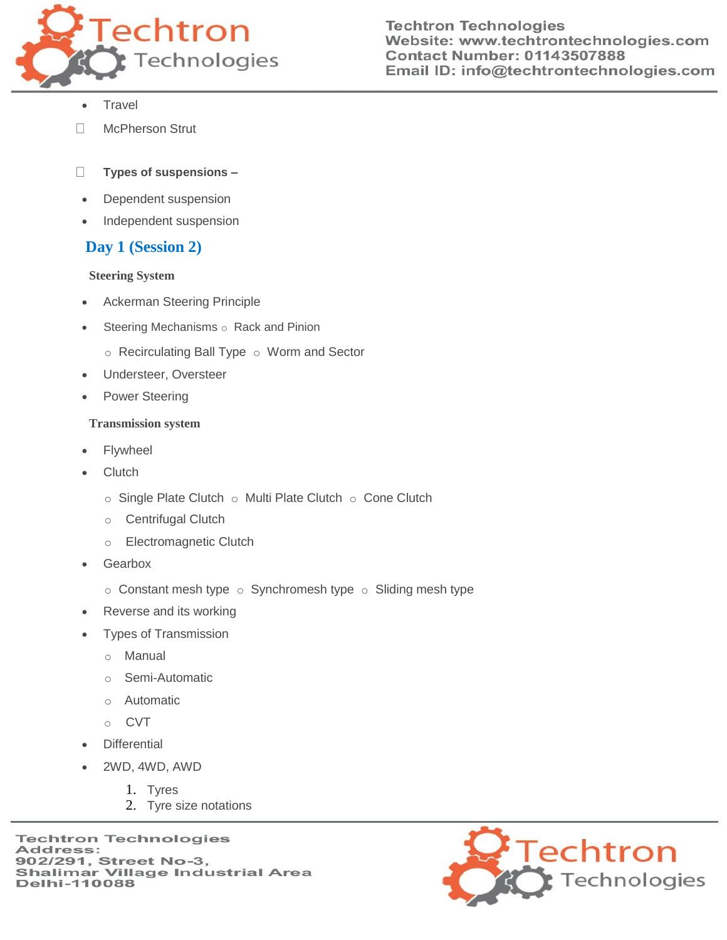

- Travel
- McPherson Strut П

#### $\Box$ **Types of suspensions –**

- Dependent suspension
- Independent suspension

## **Day 1 (Session 2)**

#### **Steering System**

- Ackerman Steering Principle
- $\bullet$  Steering Mechanisms  $\circ$  Rack and Pinion
	- $\circ$  Recirculating Ball Type  $\circ$  Worm and Sector
- Understeer, Oversteer
- Power Steering

### **Transmission system**

- Flywheel
- **Clutch** 
	- $\circ$  Single Plate Clutch  $\circ$  Multi Plate Clutch  $\circ$  Cone Clutch
	- o Centrifugal Clutch
	- o Electromagnetic Clutch
- Gearbox
	- $\circ$  Constant mesh type  $\circ$  Synchromesh type  $\circ$  Sliding mesh type
- Reverse and its working
- Types of Transmission
	- o Manual
	- o Semi-Automatic
	- o Automatic
	- o CVT
- **Differential**
- 2WD, 4WD, AWD
	- 1. Tyres
	- 2. Tyre size notations

**Techtron Technologies** Address: 902/291, Street No-3, **Shalimar Village Industrial Area Delhi-110088** 

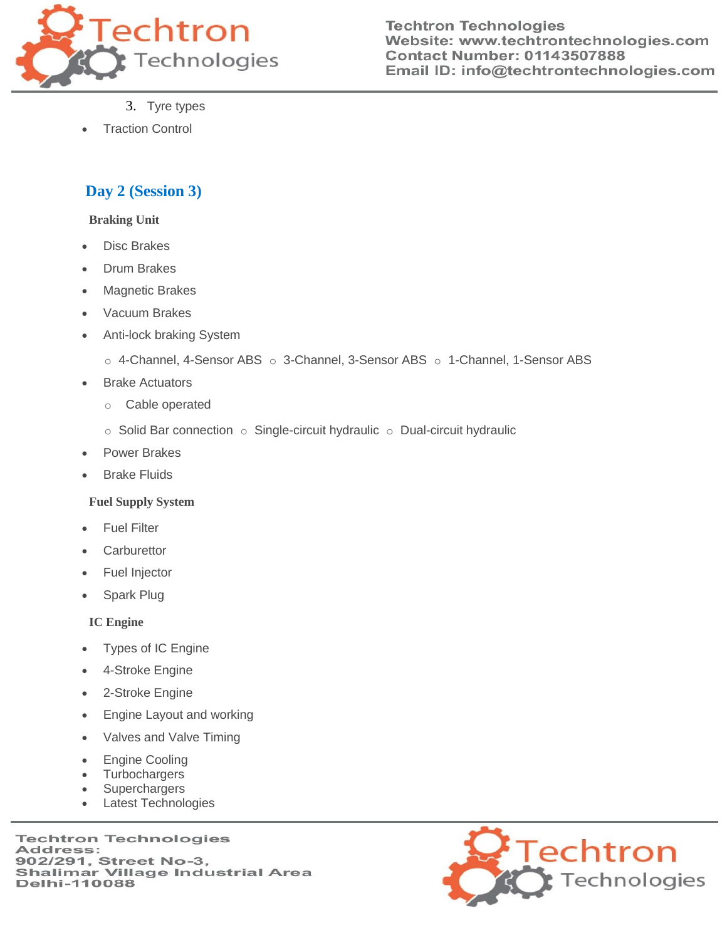

**Techtron Technologies** Website: www.techtrontechnologies.com **Contact Number: 01143507888** Email ID: info@techtrontechnologies.com

- 3. Tyre types
- Traction Control

## **Day 2 (Session 3)**

#### **Braking Unit**

- Disc Brakes
- Drum Brakes
- Magnetic Brakes
- Vacuum Brakes
- Anti-lock braking System
	- $\circ$  4-Channel, 4-Sensor ABS  $\circ$  3-Channel, 3-Sensor ABS  $\circ$  1-Channel, 1-Sensor ABS
- Brake Actuators
	- o Cable operated
	- $\circ$  Solid Bar connection  $\circ$  Single-circuit hydraulic  $\circ$  Dual-circuit hydraulic
- Power Brakes
- Brake Fluids

### **Fuel Supply System**

- Fuel Filter
- **Carburettor**
- Fuel Injector
- Spark Plug

### **IC Engine**

- Types of IC Engine
- 4-Stroke Engine
- 2-Stroke Engine
- Engine Layout and working
- Valves and Valve Timing
- Engine Cooling
- **Turbochargers**
- **Superchargers**
- Latest Technologies

**Techtron Technologies** Address: 902/291, Street No-3, **Shalimar Village Industrial Area Delhi-110088**